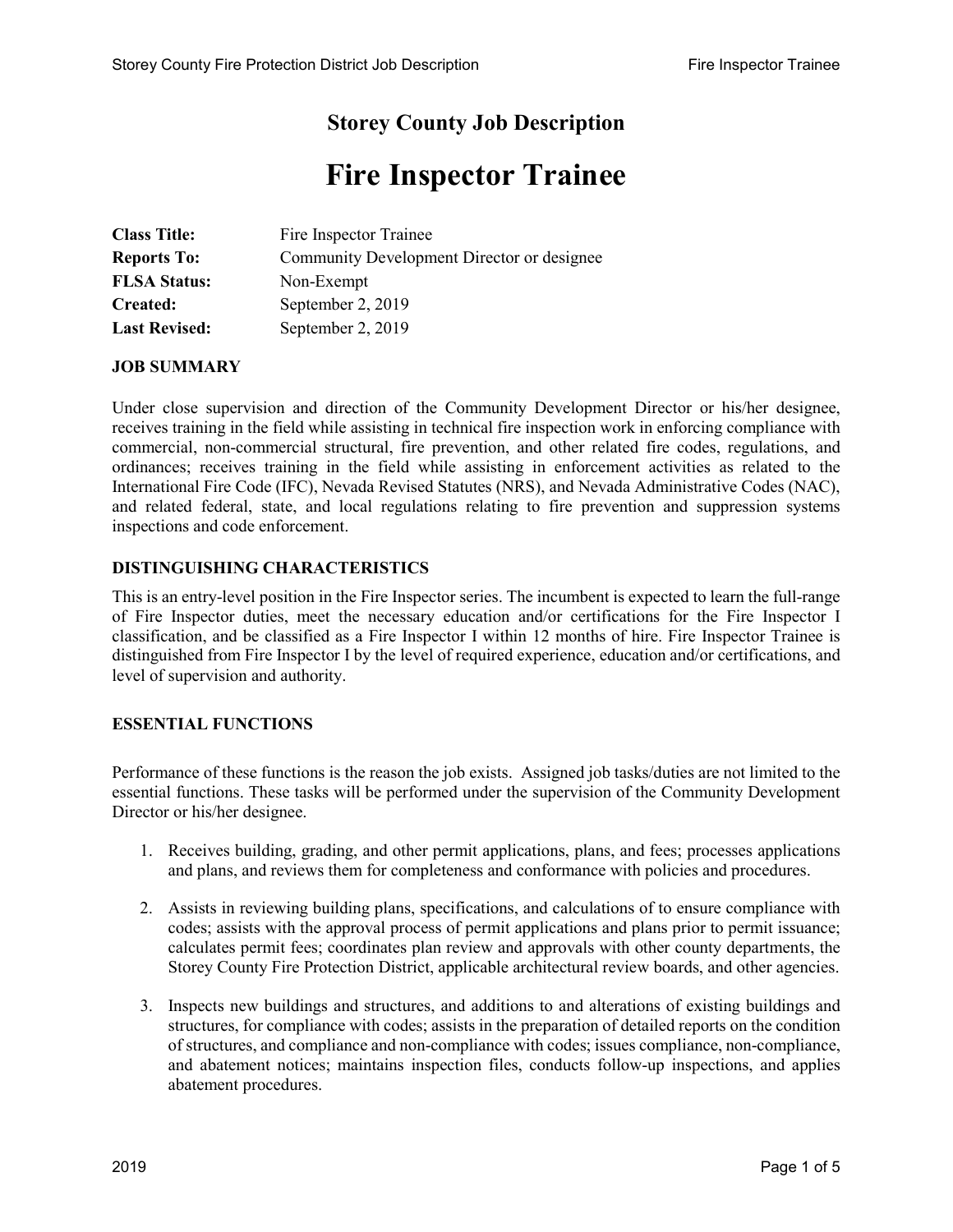## **Storey County Job Description**

# **Fire Inspector Trainee**

| <b>Class Title:</b>  | Fire Inspector Trainee                     |
|----------------------|--------------------------------------------|
| <b>Reports To:</b>   | Community Development Director or designee |
| <b>FLSA Status:</b>  | Non-Exempt                                 |
| Created:             | September 2, 2019                          |
| <b>Last Revised:</b> | September 2, 2019                          |

#### **JOB SUMMARY**

Under close supervision and direction of the Community Development Director or his/her designee, receives training in the field while assisting in technical fire inspection work in enforcing compliance with commercial, non-commercial structural, fire prevention, and other related fire codes, regulations, and ordinances; receives training in the field while assisting in enforcement activities as related to the International Fire Code (IFC), Nevada Revised Statutes (NRS), and Nevada Administrative Codes (NAC), and related federal, state, and local regulations relating to fire prevention and suppression systems inspections and code enforcement.

### **DISTINGUISHING CHARACTERISTICS**

This is an entry-level position in the Fire Inspector series. The incumbent is expected to learn the full-range of Fire Inspector duties, meet the necessary education and/or certifications for the Fire Inspector I classification, and be classified as a Fire Inspector I within 12 months of hire. Fire Inspector Trainee is distinguished from Fire Inspector I by the level of required experience, education and/or certifications, and level of supervision and authority.

#### **ESSENTIAL FUNCTIONS**

Performance of these functions is the reason the job exists. Assigned job tasks/duties are not limited to the essential functions. These tasks will be performed under the supervision of the Community Development Director or his/her designee.

- 1. Receives building, grading, and other permit applications, plans, and fees; processes applications and plans, and reviews them for completeness and conformance with policies and procedures.
- 2. Assists in reviewing building plans, specifications, and calculations of to ensure compliance with codes; assists with the approval process of permit applications and plans prior to permit issuance; calculates permit fees; coordinates plan review and approvals with other county departments, the Storey County Fire Protection District, applicable architectural review boards, and other agencies.
- 3. Inspects new buildings and structures, and additions to and alterations of existing buildings and structures, for compliance with codes; assists in the preparation of detailed reports on the condition of structures, and compliance and non-compliance with codes; issues compliance, non-compliance, and abatement notices; maintains inspection files, conducts follow-up inspections, and applies abatement procedures.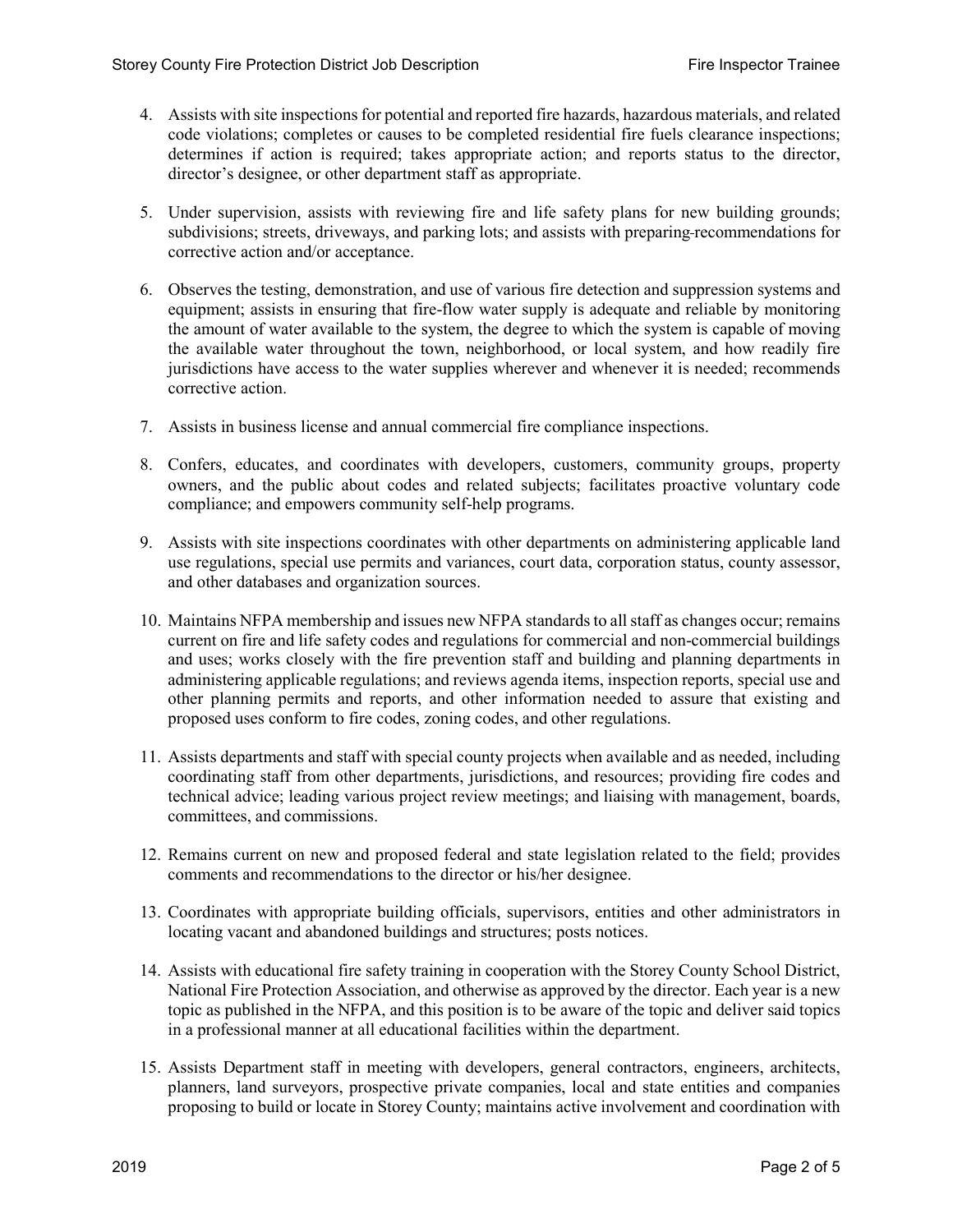- 4. Assists with site inspections for potential and reported fire hazards, hazardous materials, and related code violations; completes or causes to be completed residential fire fuels clearance inspections; determines if action is required; takes appropriate action; and reports status to the director, director's designee, or other department staff as appropriate.
- 5. Under supervision, assists with reviewing fire and life safety plans for new building grounds; subdivisions; streets, driveways, and parking lots; and assists with preparing recommendations for corrective action and/or acceptance.
- 6. Observes the testing, demonstration, and use of various fire detection and suppression systems and equipment; assists in ensuring that fire-flow water supply is adequate and reliable by monitoring the amount of water available to the system, the degree to which the system is capable of moving the available water throughout the town, neighborhood, or local system, and how readily fire jurisdictions have access to the water supplies wherever and whenever it is needed; recommends corrective action.
- 7. Assists in business license and annual commercial fire compliance inspections.
- 8. Confers, educates, and coordinates with developers, customers, community groups, property owners, and the public about codes and related subjects; facilitates proactive voluntary code compliance; and empowers community self-help programs.
- 9. Assists with site inspections coordinates with other departments on administering applicable land use regulations, special use permits and variances, court data, corporation status, county assessor, and other databases and organization sources.
- 10. Maintains NFPA membership and issues new NFPA standards to all staff as changes occur; remains current on fire and life safety codes and regulations for commercial and non-commercial buildings and uses; works closely with the fire prevention staff and building and planning departments in administering applicable regulations; and reviews agenda items, inspection reports, special use and other planning permits and reports, and other information needed to assure that existing and proposed uses conform to fire codes, zoning codes, and other regulations.
- 11. Assists departments and staff with special county projects when available and as needed, including coordinating staff from other departments, jurisdictions, and resources; providing fire codes and technical advice; leading various project review meetings; and liaising with management, boards, committees, and commissions.
- 12. Remains current on new and proposed federal and state legislation related to the field; provides comments and recommendations to the director or his/her designee.
- 13. Coordinates with appropriate building officials, supervisors, entities and other administrators in locating vacant and abandoned buildings and structures; posts notices.
- 14. Assists with educational fire safety training in cooperation with the Storey County School District, National Fire Protection Association, and otherwise as approved by the director. Each year is a new topic as published in the NFPA, and this position is to be aware of the topic and deliver said topics in a professional manner at all educational facilities within the department.
- 15. Assists Department staff in meeting with developers, general contractors, engineers, architects, planners, land surveyors, prospective private companies, local and state entities and companies proposing to build or locate in Storey County; maintains active involvement and coordination with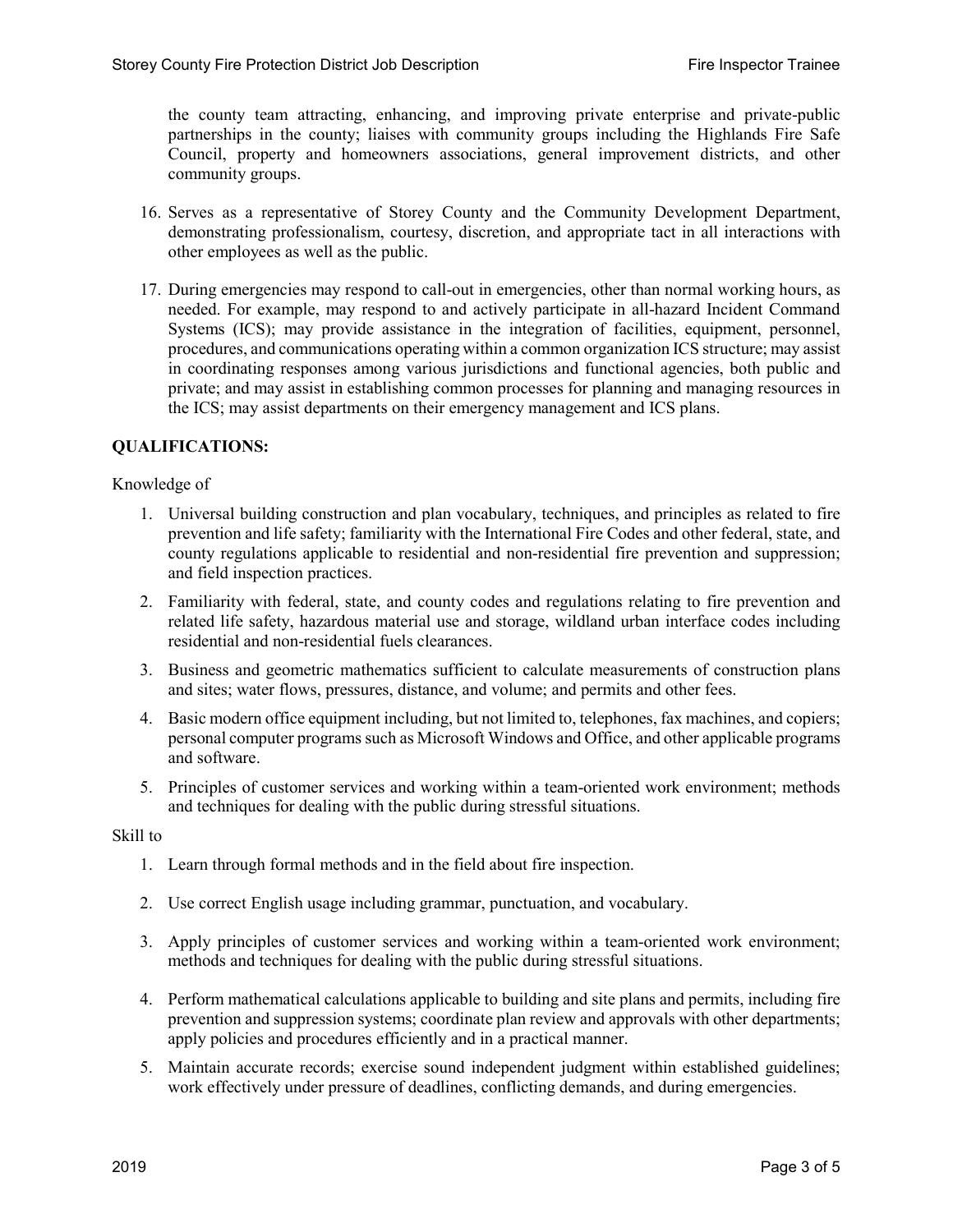the county team attracting, enhancing, and improving private enterprise and private-public partnerships in the county; liaises with community groups including the Highlands Fire Safe Council, property and homeowners associations, general improvement districts, and other community groups.

- 16. Serves as a representative of Storey County and the Community Development Department, demonstrating professionalism, courtesy, discretion, and appropriate tact in all interactions with other employees as well as the public.
- 17. During emergencies may respond to call-out in emergencies, other than normal working hours, as needed. For example, may respond to and actively participate in all-hazard Incident Command Systems (ICS); may provide assistance in the integration of facilities, equipment, personnel, procedures, and communications operating within a common organization ICS structure; may assist in coordinating responses among various jurisdictions and functional agencies, both public and private; and may assist in establishing common processes for planning and managing resources in the ICS; may assist departments on their emergency management and ICS plans.

#### **QUALIFICATIONS:**

Knowledge of

- 1. Universal building construction and plan vocabulary, techniques, and principles as related to fire prevention and life safety; familiarity with the International Fire Codes and other federal, state, and county regulations applicable to residential and non-residential fire prevention and suppression; and field inspection practices.
- 2. Familiarity with federal, state, and county codes and regulations relating to fire prevention and related life safety, hazardous material use and storage, wildland urban interface codes including residential and non-residential fuels clearances.
- 3. Business and geometric mathematics sufficient to calculate measurements of construction plans and sites; water flows, pressures, distance, and volume; and permits and other fees.
- 4. Basic modern office equipment including, but not limited to, telephones, fax machines, and copiers; personal computer programs such as Microsoft Windows and Office, and other applicable programs and software.
- 5. Principles of customer services and working within a team-oriented work environment; methods and techniques for dealing with the public during stressful situations.

#### Skill to

- 1. Learn through formal methods and in the field about fire inspection.
- 2. Use correct English usage including grammar, punctuation, and vocabulary.
- 3. Apply principles of customer services and working within a team-oriented work environment; methods and techniques for dealing with the public during stressful situations.
- 4. Perform mathematical calculations applicable to building and site plans and permits, including fire prevention and suppression systems; coordinate plan review and approvals with other departments; apply policies and procedures efficiently and in a practical manner.
- 5. Maintain accurate records; exercise sound independent judgment within established guidelines; work effectively under pressure of deadlines, conflicting demands, and during emergencies.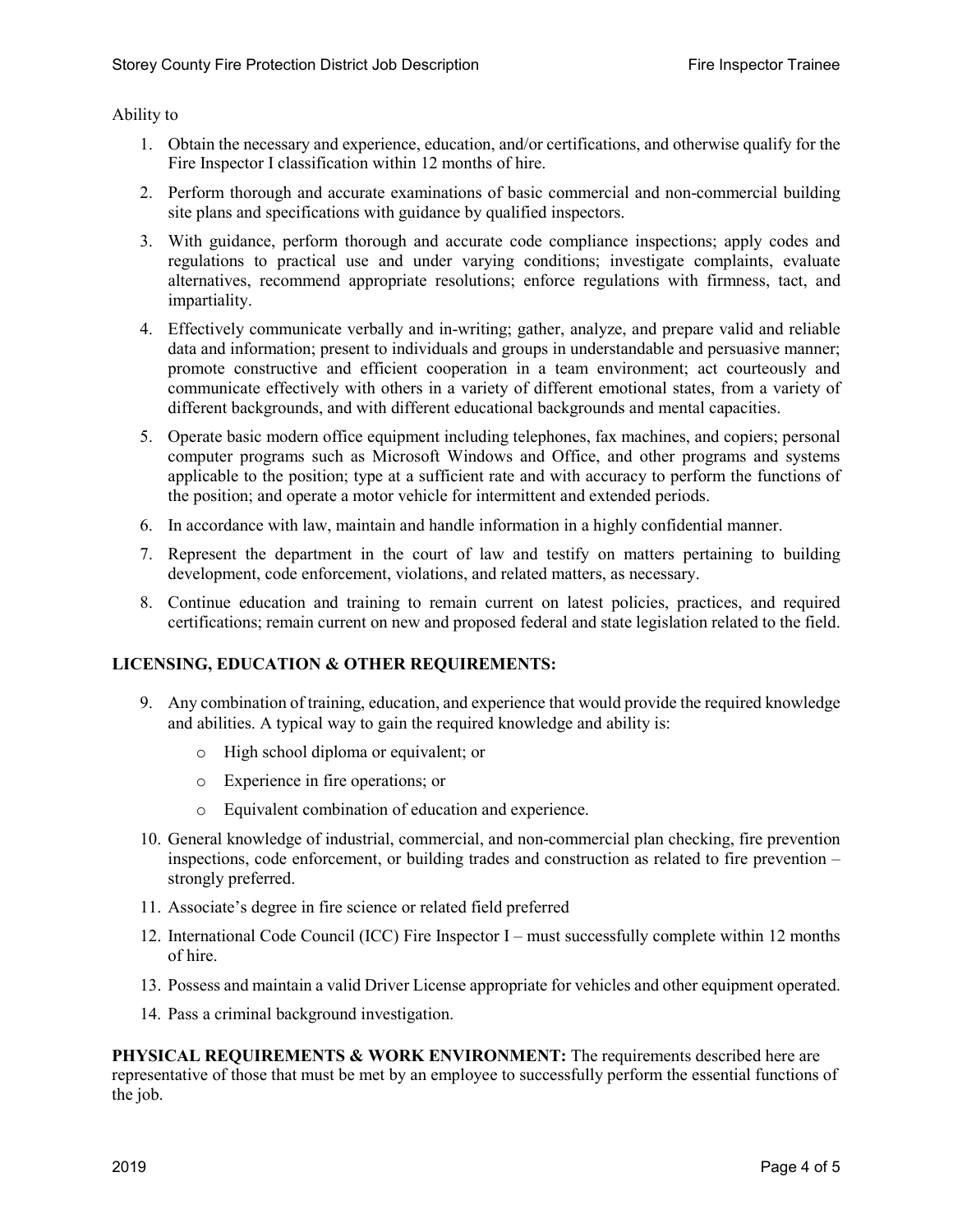Ability to

- 1. Obtain the necessary and experience, education, and/or certifications, and otherwise qualify for the Fire Inspector I classification within 12 months of hire.
- 2. Perform thorough and accurate examinations of basic commercial and non-commercial building site plans and specifications with guidance by qualified inspectors.
- 3. With guidance, perform thorough and accurate code compliance inspections; apply codes and regulations to practical use and under varying conditions; investigate complaints, evaluate alternatives, recommend appropriate resolutions; enforce regulations with firmness, tact, and impartiality.
- 4. Effectively communicate verbally and in-writing; gather, analyze, and prepare valid and reliable data and information; present to individuals and groups in understandable and persuasive manner; promote constructive and efficient cooperation in a team environment; act courteously and communicate effectively with others in a variety of different emotional states, from a variety of different backgrounds, and with different educational backgrounds and mental capacities.
- 5. Operate basic modern office equipment including telephones, fax machines, and copiers; personal computer programs such as Microsoft Windows and Office, and other programs and systems applicable to the position; type at a sufficient rate and with accuracy to perform the functions of the position; and operate a motor vehicle for intermittent and extended periods.
- 6. In accordance with law, maintain and handle information in a highly confidential manner.
- 7. Represent the department in the court of law and testify on matters pertaining to building development, code enforcement, violations, and related matters, as necessary.
- 8. Continue education and training to remain current on latest policies, practices, and required certifications; remain current on new and proposed federal and state legislation related to the field.

#### **LICENSING, EDUCATION & OTHER REQUIREMENTS:**

- 9. Any combination of training, education, and experience that would provide the required knowledge and abilities. A typical way to gain the required knowledge and ability is:
	- o High school diploma or equivalent; or
	- o Experience in fire operations; or
	- o Equivalent combination of education and experience.
- 10. General knowledge of industrial, commercial, and non-commercial plan checking, fire prevention inspections, code enforcement, or building trades and construction as related to fire prevention – strongly preferred.
- 11. Associate's degree in fire science or related field preferred
- 12. International Code Council (ICC) Fire Inspector I must successfully complete within 12 months of hire.
- 13. Possess and maintain a valid Driver License appropriate for vehicles and other equipment operated.
- 14. Pass a criminal background investigation.

**PHYSICAL REQUIREMENTS & WORK ENVIRONMENT:** The requirements described here are representative of those that must be met by an employee to successfully perform the essential functions of the job.